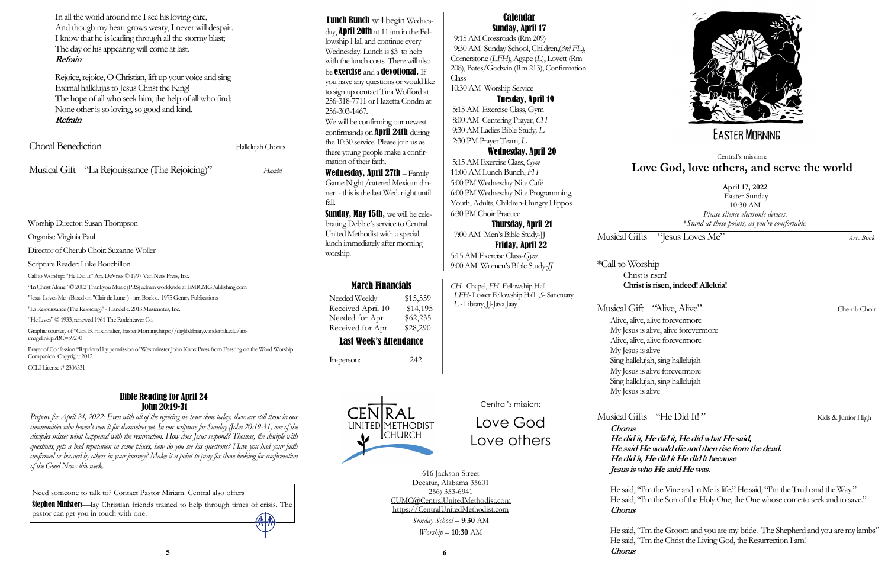Musical Gifts "Jesus Loves Me" *Arr. Bock* 

# \*Call to Worship Christ is risen!

**Christ is risen, indeed! Alleluia!**

# Musical Gifts "He Did It!" Kids & Junior High

Musical Gift "Alive, Alive" Cherub Choir Alive, alive, alive forevermore My Jesus is alive, alive forevermore Alive, alive, alive forevermore My Jesus is alive Sing hallelujah, sing hallelujah My Jesus is alive forevermore Sing hallelujah, sing hallelujah My Jesus is alive

**Chorus**

He said, 'T'm the Groom and you are my bride. The Shepherd and you are my lambs" He said, "I'm the Christ the Living God, the Resurrection I am!

**He did it, He did it, He did what He said, He said He would die and then rise from the dead. He did it, He did it He did it because Jesus is who He said He was.**

He said, "I'm the Vine and in Me is life." He said, "I'm the Truth and the Way." He said, "I'm the Son of the Holy One, the One whose come to seek and to save."

Graphic courtesy of \*Cara B. Hochhalter, Easter Morning.https://diglib.library.vanderbilt.edu/actimagelink.pl?RC=59270

**Chorus**

**5 Chorus 6**



# **EASTER MORNING**

Worship Director: Susan Thompson

Organist: Virginia Paul

Director of Cherub Choir: Suzanne Woller

Scripture Reader: Luke Bouchillon

Call to Worship: "He Did It" Arr. DeVries © 1997 Van Ness Press, Inc.

"In Christ Alone"© 2002 Thankyou Music (PRS) admin worldwide at EMICMGPublishing.com

"Jesus Loves Me" (Based on "Clair de Lune") - arr. Bock c. 1975 Gentry Publications

"LaRejouissance (The Rejoicing)" -Handel c. 2013 Musicnotes, Inc.

"He Lives" © 1933, renewed 1961 The Rodeheaver Co.

Prayer of Confession "Reprinted by permission of Westminster John Knox Press from Feasting on the Word Worship Companion. Copyright 2012.

CCLI License # 2306531

## March Financials

Needed Weekly \$15,559 Received April 10 \$14,195 Needed for Apr \$62,235 Received for Apr \$28,290

# Last Week's Attendance

In-person: 242



## **April 17, 2022**

Easter Sunday 10:30 AM *Please silence electronic devices*. \**Stand at these points, as you're comfortable.*

Central's mission:

# **Love God, love others, and serve the world**

# Central's mission:

Love God Love others

616 Jackson Street Decatur, Alabama 35601 256) 353-6941 CUMC@CentralUnitedMethodist.com https://CentralUnitedMethodist.com

Lunch Bunch will begin Wednesday, **April 20th** at 11 am in the Fellowship Hall and continue every Wednesday. Lunch is \$3 to help with the lunch costs. There will also be **exercise** and a **devotional.** If you have any questions or would like

> *Sunday School* – **9**:**30** AM *Worship* – **10**:**30** AM

# Calendar Sunday, April 17

 9:15 AM Crossroads (Rm 209) 9:30 AM Sunday School, Children,(*3rd FL*), Cornerstone (*LFH*), Agape (*L*), Lovett (Rm 208), Bates/Godwin (Rm 213), Confirmation Class

10:30 AM Worship Service

## Tuesday, April 19

5:15 AM Exercise Class, Gym 8:00 AM Centering Prayer, *CH* 9:30 AM Ladies Bible Study*, L* 2:30 PM Prayer Team, *L*

### Wednesday, April 20

5:15 AM Exercise Class, *Gym* 11:00 AM Lunch Bunch, *FH* 5:00 PM Wednesday Nite Café 6:00 PM Wednesday Nite Programming, Youth, Adults, Children-Hungry Hippos 6:30 PM Choir Practice

## Thursday, April 21

 7:00 AM Men's Bible Study-JJ Friday, April 22

5:15 AM Exercise Class-*Gym*  9:00 AM Women's Bible Study-*JJ*

*CH–* Chapel, *FH*- Fellowship Hall  *LFH*-Lower Fellowship Hall ,*S*- Sanctuary *L* - Library, JJ-Java Jaay

| In all the world around me I see his loving care,       |  |  |
|---------------------------------------------------------|--|--|
| And though my heart grows weary, I never will despair.  |  |  |
| I know that he is leading through all the stormy blast; |  |  |
| The day of his appearing will come at last.             |  |  |
| Refrain                                                 |  |  |
|                                                         |  |  |

Rejoice, rejoice, O Christian, lift up your voice and sing Eternal hallelujas to Jesus Christ the King! The hope of all who seek him, the help of all who find; None other is so loving, so good and kind. **Refrain**

| Choral Benediction |                                                | Hallelujah Chorus |
|--------------------|------------------------------------------------|-------------------|
|                    | Musical Gift "La Rejouissance (The Rejoicing)" | Handel            |

## Bible Reading for April 24 John 20:19-31

*Prepare for April 24, 2022: Even with all of the rejoicing we have done today, there are still those in our communities who haven't seen it for themselves yet. In our scripture for Sunday (John 20:19-31) one of the disciples misses what happened with the resurrection. How does Jesus respond? Thomas, the disciple with questions, gets a bad reputation in some places, how do you see his questions? Have you had your faith confirmed or boosted by others in your journey? Make it a point to pray for those looking for confirmation of the Good News this week.* 

to sign up contact Tina Wofford at 256-318-7711 or Hazetta Condra at 256-303-1467.

We will be confirming our newest confirmands on April 24th during the 10:30 service. Please join us as these young people make a confirmation of their faith.

Wednesday, April 27th – Family Game Night /catered Mexican dinner - this is the last Wed. night until fall.

Sunday, May 15th, we will be celebrating Debbie's service to Central United Methodist with a special lunch immediately after morning worship.

Need someone to talk to? Contact Pastor Miriam. Central also offers **Stephen Ministers**—lay Christian friends trained to help through times of crisis. The pastor can get you in touch with one.